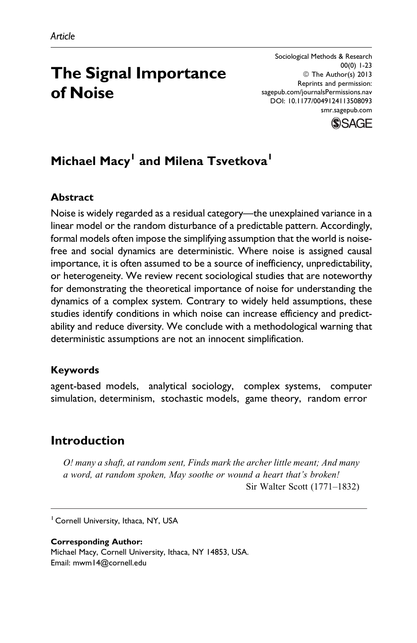# The Signal Importance of Noise

Sociological Methods & Research 00(0) 1-23 © The Author(s) 2013 Reprints and permission: [sagepub.com/journalsPermissions.nav](http://www.sagepub.com/journalsPermissions.nav) DOI: 10.1177/0049124113508093 [smr.sagepub.com](http://smr.sagepub.com)



## Michael Macy<sup>1</sup> and Milena Tsvetkova<sup>1</sup>

#### Abstract

Noise is widely regarded as a residual category—the unexplained variance in a linear model or the random disturbance of a predictable pattern. Accordingly, formal models often impose the simplifying assumption that the world is noisefree and social dynamics are deterministic. Where noise is assigned causal importance, it is often assumed to be a source of inefficiency, unpredictability, or heterogeneity. We review recent sociological studies that are noteworthy for demonstrating the theoretical importance of noise for understanding the dynamics of a complex system. Contrary to widely held assumptions, these studies identify conditions in which noise can increase efficiency and predictability and reduce diversity. We conclude with a methodological warning that deterministic assumptions are not an innocent simplification.

#### Keywords

agent-based models, analytical sociology, complex systems, computer simulation, determinism, stochastic models, game theory, random error

## Introduction

O! many a shaft, at random sent, Finds mark the archer little meant; And many a word, at random spoken, May soothe or wound a heart that's broken! Sir Walter Scott (1771–1832)

<sup>1</sup> Cornell University, Ithaca, NY, USA

#### Corresponding Author: Michael Macy, Cornell University, Ithaca, NY 14853, USA. Email: mwm14@cornell.edu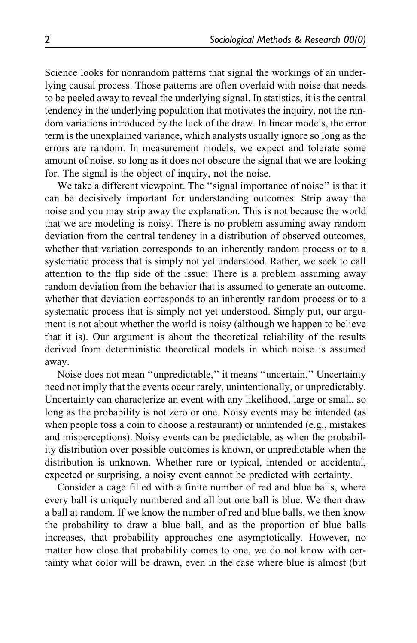Science looks for nonrandom patterns that signal the workings of an underlying causal process. Those patterns are often overlaid with noise that needs to be peeled away to reveal the underlying signal. In statistics, it is the central tendency in the underlying population that motivates the inquiry, not the random variations introduced by the luck of the draw. In linear models, the error term is the unexplained variance, which analysts usually ignore so long as the errors are random. In measurement models, we expect and tolerate some amount of noise, so long as it does not obscure the signal that we are looking for. The signal is the object of inquiry, not the noise.

We take a different viewpoint. The "signal importance of noise" is that it can be decisively important for understanding outcomes. Strip away the noise and you may strip away the explanation. This is not because the world that we are modeling is noisy. There is no problem assuming away random deviation from the central tendency in a distribution of observed outcomes, whether that variation corresponds to an inherently random process or to a systematic process that is simply not yet understood. Rather, we seek to call attention to the flip side of the issue: There is a problem assuming away random deviation from the behavior that is assumed to generate an outcome, whether that deviation corresponds to an inherently random process or to a systematic process that is simply not yet understood. Simply put, our argument is not about whether the world is noisy (although we happen to believe that it is). Our argument is about the theoretical reliability of the results derived from deterministic theoretical models in which noise is assumed away.

Noise does not mean ''unpredictable,'' it means ''uncertain.'' Uncertainty need not imply that the events occur rarely, unintentionally, or unpredictably. Uncertainty can characterize an event with any likelihood, large or small, so long as the probability is not zero or one. Noisy events may be intended (as when people toss a coin to choose a restaurant) or unintended (e.g., mistakes and misperceptions). Noisy events can be predictable, as when the probability distribution over possible outcomes is known, or unpredictable when the distribution is unknown. Whether rare or typical, intended or accidental, expected or surprising, a noisy event cannot be predicted with certainty.

Consider a cage filled with a finite number of red and blue balls, where every ball is uniquely numbered and all but one ball is blue. We then draw a ball at random. If we know the number of red and blue balls, we then know the probability to draw a blue ball, and as the proportion of blue balls increases, that probability approaches one asymptotically. However, no matter how close that probability comes to one, we do not know with certainty what color will be drawn, even in the case where blue is almost (but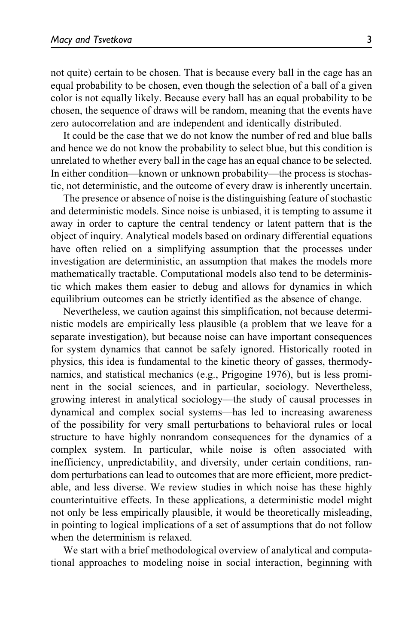not quite) certain to be chosen. That is because every ball in the cage has an equal probability to be chosen, even though the selection of a ball of a given color is not equally likely. Because every ball has an equal probability to be chosen, the sequence of draws will be random, meaning that the events have zero autocorrelation and are independent and identically distributed.

It could be the case that we do not know the number of red and blue balls and hence we do not know the probability to select blue, but this condition is unrelated to whether every ball in the cage has an equal chance to be selected. In either condition—known or unknown probability—the process is stochastic, not deterministic, and the outcome of every draw is inherently uncertain.

The presence or absence of noise is the distinguishing feature of stochastic and deterministic models. Since noise is unbiased, it is tempting to assume it away in order to capture the central tendency or latent pattern that is the object of inquiry. Analytical models based on ordinary differential equations have often relied on a simplifying assumption that the processes under investigation are deterministic, an assumption that makes the models more mathematically tractable. Computational models also tend to be deterministic which makes them easier to debug and allows for dynamics in which equilibrium outcomes can be strictly identified as the absence of change.

Nevertheless, we caution against this simplification, not because deterministic models are empirically less plausible (a problem that we leave for a separate investigation), but because noise can have important consequences for system dynamics that cannot be safely ignored. Historically rooted in physics, this idea is fundamental to the kinetic theory of gasses, thermodynamics, and statistical mechanics (e.g., Prigogine 1976), but is less prominent in the social sciences, and in particular, sociology. Nevertheless, growing interest in analytical sociology—the study of causal processes in dynamical and complex social systems—has led to increasing awareness of the possibility for very small perturbations to behavioral rules or local structure to have highly nonrandom consequences for the dynamics of a complex system. In particular, while noise is often associated with inefficiency, unpredictability, and diversity, under certain conditions, random perturbations can lead to outcomes that are more efficient, more predictable, and less diverse. We review studies in which noise has these highly counterintuitive effects. In these applications, a deterministic model might not only be less empirically plausible, it would be theoretically misleading, in pointing to logical implications of a set of assumptions that do not follow when the determinism is relaxed.

We start with a brief methodological overview of analytical and computational approaches to modeling noise in social interaction, beginning with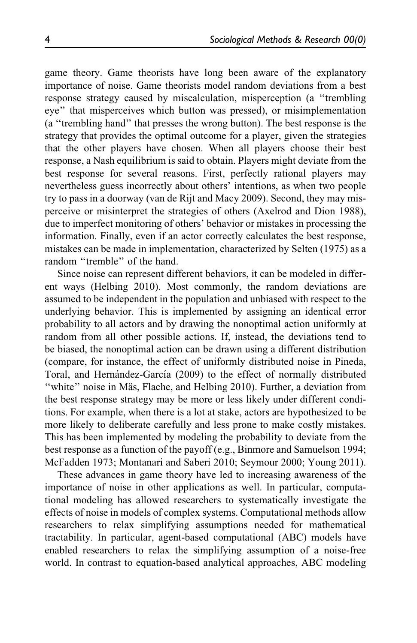game theory. Game theorists have long been aware of the explanatory importance of noise. Game theorists model random deviations from a best response strategy caused by miscalculation, misperception (a ''trembling eye'' that misperceives which button was pressed), or misimplementation (a ''trembling hand'' that presses the wrong button). The best response is the strategy that provides the optimal outcome for a player, given the strategies that the other players have chosen. When all players choose their best response, a Nash equilibrium is said to obtain. Players might deviate from the best response for several reasons. First, perfectly rational players may nevertheless guess incorrectly about others' intentions, as when two people try to pass in a doorway (van de Rijt and Macy 2009). Second, they may misperceive or misinterpret the strategies of others (Axelrod and Dion 1988), due to imperfect monitoring of others' behavior or mistakes in processing the information. Finally, even if an actor correctly calculates the best response, mistakes can be made in implementation, characterized by Selten (1975) as a random ''tremble'' of the hand.

Since noise can represent different behaviors, it can be modeled in different ways (Helbing 2010). Most commonly, the random deviations are assumed to be independent in the population and unbiased with respect to the underlying behavior. This is implemented by assigning an identical error probability to all actors and by drawing the nonoptimal action uniformly at random from all other possible actions. If, instead, the deviations tend to be biased, the nonoptimal action can be drawn using a different distribution (compare, for instance, the effect of uniformly distributed noise in Pineda, Toral, and Hernández-García (2009) to the effect of normally distributed "white" noise in Mäs, Flache, and Helbing 2010). Further, a deviation from the best response strategy may be more or less likely under different conditions. For example, when there is a lot at stake, actors are hypothesized to be more likely to deliberate carefully and less prone to make costly mistakes. This has been implemented by modeling the probability to deviate from the best response as a function of the payoff (e.g., Binmore and Samuelson 1994; McFadden 1973; Montanari and Saberi 2010; Seymour 2000; Young 2011).

These advances in game theory have led to increasing awareness of the importance of noise in other applications as well. In particular, computational modeling has allowed researchers to systematically investigate the effects of noise in models of complex systems. Computational methods allow researchers to relax simplifying assumptions needed for mathematical tractability. In particular, agent-based computational (ABC) models have enabled researchers to relax the simplifying assumption of a noise-free world. In contrast to equation-based analytical approaches, ABC modeling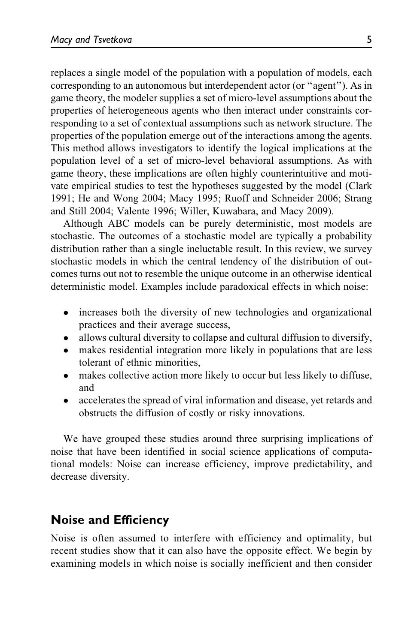replaces a single model of the population with a population of models, each corresponding to an autonomous but interdependent actor (or ''agent''). As in game theory, the modeler supplies a set of micro-level assumptions about the properties of heterogeneous agents who then interact under constraints corresponding to a set of contextual assumptions such as network structure. The properties of the population emerge out of the interactions among the agents. This method allows investigators to identify the logical implications at the population level of a set of micro-level behavioral assumptions. As with game theory, these implications are often highly counterintuitive and motivate empirical studies to test the hypotheses suggested by the model (Clark 1991; He and Wong 2004; Macy 1995; Ruoff and Schneider 2006; Strang and Still 2004; Valente 1996; Willer, Kuwabara, and Macy 2009).

Although ABC models can be purely deterministic, most models are stochastic. The outcomes of a stochastic model are typically a probability distribution rather than a single ineluctable result. In this review, we survey stochastic models in which the central tendency of the distribution of outcomes turns out not to resemble the unique outcome in an otherwise identical deterministic model. Examples include paradoxical effects in which noise:

- $\bullet$  increases both the diversity of new technologies and organizational practices and their average success,
- $\bullet$ allows cultural diversity to collapse and cultural diffusion to diversify,
- makes residential integration more likely in populations that are less tolerant of ethnic minorities,
- $\bullet$  makes collective action more likely to occur but less likely to diffuse, and
- $\bullet$  accelerates the spread of viral information and disease, yet retards and obstructs the diffusion of costly or risky innovations.

We have grouped these studies around three surprising implications of noise that have been identified in social science applications of computational models: Noise can increase efficiency, improve predictability, and decrease diversity.

#### Noise and Efficiency

Noise is often assumed to interfere with efficiency and optimality, but recent studies show that it can also have the opposite effect. We begin by examining models in which noise is socially inefficient and then consider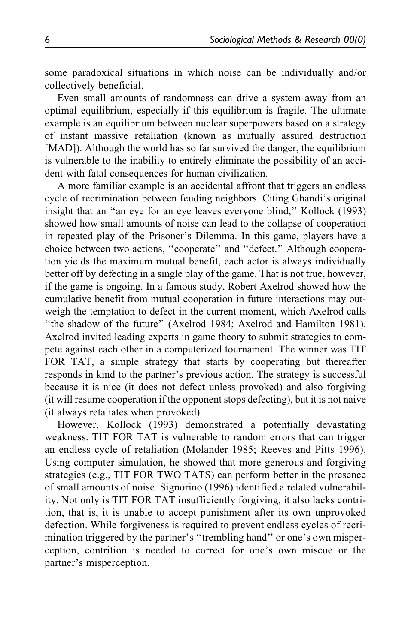some paradoxical situations in which noise can be individually and/or collectively beneficial.

Even small amounts of randomness can drive a system away from an optimal equilibrium, especially if this equilibrium is fragile. The ultimate example is an equilibrium between nuclear superpowers based on a strategy of instant massive retaliation (known as mutually assured destruction [MAD]). Although the world has so far survived the danger, the equilibrium is vulnerable to the inability to entirely eliminate the possibility of an accident with fatal consequences for human civilization.

A more familiar example is an accidental affront that triggers an endless cycle of recrimination between feuding neighbors. Citing Ghandi's original insight that an ''an eye for an eye leaves everyone blind,'' Kollock (1993) showed how small amounts of noise can lead to the collapse of cooperation in repeated play of the Prisoner's Dilemma. In this game, players have a choice between two actions, ''cooperate'' and ''defect.'' Although cooperation yields the maximum mutual benefit, each actor is always individually better off by defecting in a single play of the game. That is not true, however, if the game is ongoing. In a famous study, Robert Axelrod showed how the cumulative benefit from mutual cooperation in future interactions may outweigh the temptation to defect in the current moment, which Axelrod calls ''the shadow of the future'' (Axelrod 1984; Axelrod and Hamilton 1981). Axelrod invited leading experts in game theory to submit strategies to compete against each other in a computerized tournament. The winner was TIT FOR TAT, a simple strategy that starts by cooperating but thereafter responds in kind to the partner's previous action. The strategy is successful because it is nice (it does not defect unless provoked) and also forgiving (it will resume cooperation if the opponent stops defecting), but it is not naive (it always retaliates when provoked).

However, Kollock (1993) demonstrated a potentially devastating weakness. TIT FOR TAT is vulnerable to random errors that can trigger an endless cycle of retaliation (Molander 1985; Reeves and Pitts 1996). Using computer simulation, he showed that more generous and forgiving strategies (e.g., TIT FOR TWO TATS) can perform better in the presence of small amounts of noise. Signorino (1996) identified a related vulnerability. Not only is TIT FOR TAT insufficiently forgiving, it also lacks contrition, that is, it is unable to accept punishment after its own unprovoked defection. While forgiveness is required to prevent endless cycles of recrimination triggered by the partner's "trembling hand" or one's own misperception, contrition is needed to correct for one's own miscue or the partner's misperception.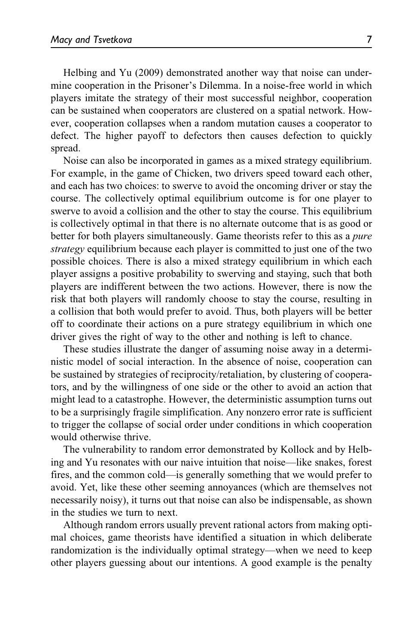Helbing and Yu (2009) demonstrated another way that noise can undermine cooperation in the Prisoner's Dilemma. In a noise-free world in which players imitate the strategy of their most successful neighbor, cooperation can be sustained when cooperators are clustered on a spatial network. However, cooperation collapses when a random mutation causes a cooperator to defect. The higher payoff to defectors then causes defection to quickly spread.

Noise can also be incorporated in games as a mixed strategy equilibrium. For example, in the game of Chicken, two drivers speed toward each other, and each has two choices: to swerve to avoid the oncoming driver or stay the course. The collectively optimal equilibrium outcome is for one player to swerve to avoid a collision and the other to stay the course. This equilibrium is collectively optimal in that there is no alternate outcome that is as good or better for both players simultaneously. Game theorists refer to this as a *pure* strategy equilibrium because each player is committed to just one of the two possible choices. There is also a mixed strategy equilibrium in which each player assigns a positive probability to swerving and staying, such that both players are indifferent between the two actions. However, there is now the risk that both players will randomly choose to stay the course, resulting in a collision that both would prefer to avoid. Thus, both players will be better off to coordinate their actions on a pure strategy equilibrium in which one driver gives the right of way to the other and nothing is left to chance.

These studies illustrate the danger of assuming noise away in a deterministic model of social interaction. In the absence of noise, cooperation can be sustained by strategies of reciprocity/retaliation, by clustering of cooperators, and by the willingness of one side or the other to avoid an action that might lead to a catastrophe. However, the deterministic assumption turns out to be a surprisingly fragile simplification. Any nonzero error rate is sufficient to trigger the collapse of social order under conditions in which cooperation would otherwise thrive.

The vulnerability to random error demonstrated by Kollock and by Helbing and Yu resonates with our naive intuition that noise—like snakes, forest fires, and the common cold—is generally something that we would prefer to avoid. Yet, like these other seeming annoyances (which are themselves not necessarily noisy), it turns out that noise can also be indispensable, as shown in the studies we turn to next.

Although random errors usually prevent rational actors from making optimal choices, game theorists have identified a situation in which deliberate randomization is the individually optimal strategy—when we need to keep other players guessing about our intentions. A good example is the penalty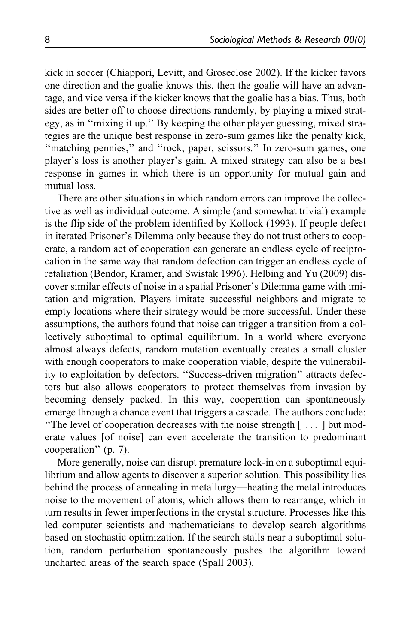kick in soccer (Chiappori, Levitt, and Groseclose 2002). If the kicker favors one direction and the goalie knows this, then the goalie will have an advantage, and vice versa if the kicker knows that the goalie has a bias. Thus, both sides are better off to choose directions randomly, by playing a mixed strategy, as in ''mixing it up.'' By keeping the other player guessing, mixed strategies are the unique best response in zero-sum games like the penalty kick, "matching pennies," and "rock, paper, scissors." In zero-sum games, one player's loss is another player's gain. A mixed strategy can also be a best response in games in which there is an opportunity for mutual gain and mutual loss.

There are other situations in which random errors can improve the collective as well as individual outcome. A simple (and somewhat trivial) example is the flip side of the problem identified by Kollock (1993). If people defect in iterated Prisoner's Dilemma only because they do not trust others to cooperate, a random act of cooperation can generate an endless cycle of reciprocation in the same way that random defection can trigger an endless cycle of retaliation (Bendor, Kramer, and Swistak 1996). Helbing and Yu (2009) discover similar effects of noise in a spatial Prisoner's Dilemma game with imitation and migration. Players imitate successful neighbors and migrate to empty locations where their strategy would be more successful. Under these assumptions, the authors found that noise can trigger a transition from a collectively suboptimal to optimal equilibrium. In a world where everyone almost always defects, random mutation eventually creates a small cluster with enough cooperators to make cooperation viable, despite the vulnerability to exploitation by defectors. ''Success-driven migration'' attracts defectors but also allows cooperators to protect themselves from invasion by becoming densely packed. In this way, cooperation can spontaneously emerge through a chance event that triggers a cascade. The authors conclude: ''The level of cooperation decreases with the noise strength [ ... ] but moderate values [of noise] can even accelerate the transition to predominant cooperation'' (p. 7).

More generally, noise can disrupt premature lock-in on a suboptimal equilibrium and allow agents to discover a superior solution. This possibility lies behind the process of annealing in metallurgy—heating the metal introduces noise to the movement of atoms, which allows them to rearrange, which in turn results in fewer imperfections in the crystal structure. Processes like this led computer scientists and mathematicians to develop search algorithms based on stochastic optimization. If the search stalls near a suboptimal solution, random perturbation spontaneously pushes the algorithm toward uncharted areas of the search space (Spall 2003).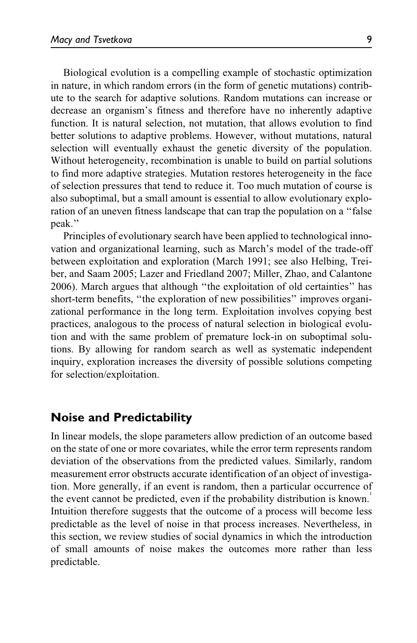Biological evolution is a compelling example of stochastic optimization in nature, in which random errors (in the form of genetic mutations) contribute to the search for adaptive solutions. Random mutations can increase or decrease an organism's fitness and therefore have no inherently adaptive function. It is natural selection, not mutation, that allows evolution to find better solutions to adaptive problems. However, without mutations, natural selection will eventually exhaust the genetic diversity of the population. Without heterogeneity, recombination is unable to build on partial solutions to find more adaptive strategies. Mutation restores heterogeneity in the face of selection pressures that tend to reduce it. Too much mutation of course is also suboptimal, but a small amount is essential to allow evolutionary exploration of an uneven fitness landscape that can trap the population on a ''false peak.''

Principles of evolutionary search have been applied to technological innovation and organizational learning, such as March's model of the trade-off between exploitation and exploration (March 1991; see also Helbing, Treiber, and Saam 2005; Lazer and Friedland 2007; Miller, Zhao, and Calantone 2006). March argues that although ''the exploitation of old certainties'' has short-term benefits, ''the exploration of new possibilities'' improves organizational performance in the long term. Exploitation involves copying best practices, analogous to the process of natural selection in biological evolution and with the same problem of premature lock-in on suboptimal solutions. By allowing for random search as well as systematic independent inquiry, exploration increases the diversity of possible solutions competing for selection/exploitation.

#### Noise and Predictability

In linear models, the slope parameters allow prediction of an outcome based on the state of one or more covariates, while the error term represents random deviation of the observations from the predicted values. Similarly, random measurement error obstructs accurate identification of an object of investigation. More generally, if an event is random, then a particular occurrence of the event cannot be predicted, even if the probability distribution is known.<sup>1</sup> Intuition therefore suggests that the outcome of a process will become less predictable as the level of noise in that process increases. Nevertheless, in this section, we review studies of social dynamics in which the introduction of small amounts of noise makes the outcomes more rather than less predictable.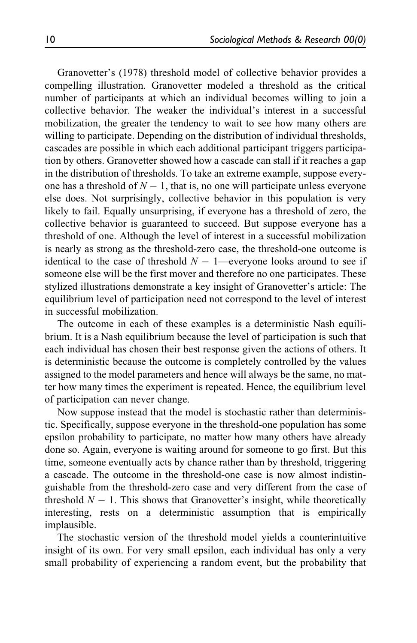Granovetter's (1978) threshold model of collective behavior provides a compelling illustration. Granovetter modeled a threshold as the critical number of participants at which an individual becomes willing to join a collective behavior. The weaker the individual's interest in a successful mobilization, the greater the tendency to wait to see how many others are willing to participate. Depending on the distribution of individual thresholds, cascades are possible in which each additional participant triggers participation by others. Granovetter showed how a cascade can stall if it reaches a gap in the distribution of thresholds. To take an extreme example, suppose everyone has a threshold of  $N - 1$ , that is, no one will participate unless everyone else does. Not surprisingly, collective behavior in this population is very likely to fail. Equally unsurprising, if everyone has a threshold of zero, the collective behavior is guaranteed to succeed. But suppose everyone has a threshold of one. Although the level of interest in a successful mobilization is nearly as strong as the threshold-zero case, the threshold-one outcome is identical to the case of threshold  $N - 1$ —everyone looks around to see if someone else will be the first mover and therefore no one participates. These stylized illustrations demonstrate a key insight of Granovetter's article: The equilibrium level of participation need not correspond to the level of interest in successful mobilization.

The outcome in each of these examples is a deterministic Nash equilibrium. It is a Nash equilibrium because the level of participation is such that each individual has chosen their best response given the actions of others. It is deterministic because the outcome is completely controlled by the values assigned to the model parameters and hence will always be the same, no matter how many times the experiment is repeated. Hence, the equilibrium level of participation can never change.

Now suppose instead that the model is stochastic rather than deterministic. Specifically, suppose everyone in the threshold-one population has some epsilon probability to participate, no matter how many others have already done so. Again, everyone is waiting around for someone to go first. But this time, someone eventually acts by chance rather than by threshold, triggering a cascade. The outcome in the threshold-one case is now almost indistinguishable from the threshold-zero case and very different from the case of threshold  $N - 1$ . This shows that Granovetter's insight, while theoretically interesting, rests on a deterministic assumption that is empirically implausible.

The stochastic version of the threshold model yields a counterintuitive insight of its own. For very small epsilon, each individual has only a very small probability of experiencing a random event, but the probability that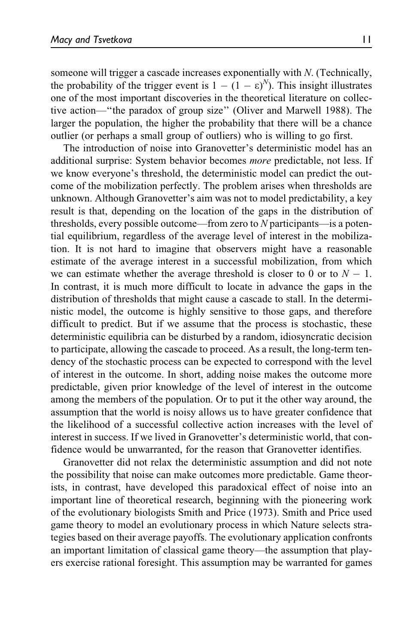someone will trigger a cascade increases exponentially with N. (Technically, the probability of the trigger event is  $1 - (1 - \varepsilon)^N$ ). This insight illustrates one of the most important discoveries in the theoretical literature on collective action—''the paradox of group size'' (Oliver and Marwell 1988). The larger the population, the higher the probability that there will be a chance outlier (or perhaps a small group of outliers) who is willing to go first.

The introduction of noise into Granovetter's deterministic model has an additional surprise: System behavior becomes more predictable, not less. If we know everyone's threshold, the deterministic model can predict the outcome of the mobilization perfectly. The problem arises when thresholds are unknown. Although Granovetter's aim was not to model predictability, a key result is that, depending on the location of the gaps in the distribution of thresholds, every possible outcome—from zero to N participants—is a potential equilibrium, regardless of the average level of interest in the mobilization. It is not hard to imagine that observers might have a reasonable estimate of the average interest in a successful mobilization, from which we can estimate whether the average threshold is closer to 0 or to  $N - 1$ . In contrast, it is much more difficult to locate in advance the gaps in the distribution of thresholds that might cause a cascade to stall. In the deterministic model, the outcome is highly sensitive to those gaps, and therefore difficult to predict. But if we assume that the process is stochastic, these deterministic equilibria can be disturbed by a random, idiosyncratic decision to participate, allowing the cascade to proceed. As a result, the long-term tendency of the stochastic process can be expected to correspond with the level of interest in the outcome. In short, adding noise makes the outcome more predictable, given prior knowledge of the level of interest in the outcome among the members of the population. Or to put it the other way around, the assumption that the world is noisy allows us to have greater confidence that the likelihood of a successful collective action increases with the level of interest in success. If we lived in Granovetter's deterministic world, that confidence would be unwarranted, for the reason that Granovetter identifies.

Granovetter did not relax the deterministic assumption and did not note the possibility that noise can make outcomes more predictable. Game theorists, in contrast, have developed this paradoxical effect of noise into an important line of theoretical research, beginning with the pioneering work of the evolutionary biologists Smith and Price (1973). Smith and Price used game theory to model an evolutionary process in which Nature selects strategies based on their average payoffs. The evolutionary application confronts an important limitation of classical game theory—the assumption that players exercise rational foresight. This assumption may be warranted for games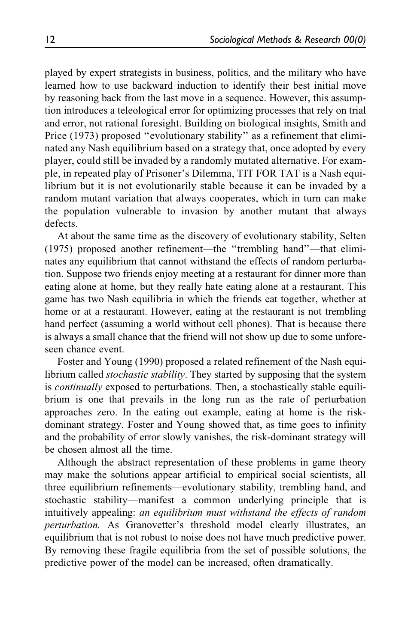played by expert strategists in business, politics, and the military who have learned how to use backward induction to identify their best initial move by reasoning back from the last move in a sequence. However, this assumption introduces a teleological error for optimizing processes that rely on trial and error, not rational foresight. Building on biological insights, Smith and Price (1973) proposed "evolutionary stability" as a refinement that eliminated any Nash equilibrium based on a strategy that, once adopted by every player, could still be invaded by a randomly mutated alternative. For example, in repeated play of Prisoner's Dilemma, TIT FOR TAT is a Nash equilibrium but it is not evolutionarily stable because it can be invaded by a random mutant variation that always cooperates, which in turn can make the population vulnerable to invasion by another mutant that always defects.

At about the same time as the discovery of evolutionary stability, Selten (1975) proposed another refinement—the ''trembling hand''—that eliminates any equilibrium that cannot withstand the effects of random perturbation. Suppose two friends enjoy meeting at a restaurant for dinner more than eating alone at home, but they really hate eating alone at a restaurant. This game has two Nash equilibria in which the friends eat together, whether at home or at a restaurant. However, eating at the restaurant is not trembling hand perfect (assuming a world without cell phones). That is because there is always a small chance that the friend will not show up due to some unforeseen chance event.

Foster and Young (1990) proposed a related refinement of the Nash equilibrium called *stochastic stability*. They started by supposing that the system is continually exposed to perturbations. Then, a stochastically stable equilibrium is one that prevails in the long run as the rate of perturbation approaches zero. In the eating out example, eating at home is the riskdominant strategy. Foster and Young showed that, as time goes to infinity and the probability of error slowly vanishes, the risk-dominant strategy will be chosen almost all the time.

Although the abstract representation of these problems in game theory may make the solutions appear artificial to empirical social scientists, all three equilibrium refinements—evolutionary stability, trembling hand, and stochastic stability—manifest a common underlying principle that is intuitively appealing: an equilibrium must withstand the effects of random perturbation. As Granovetter's threshold model clearly illustrates, an equilibrium that is not robust to noise does not have much predictive power. By removing these fragile equilibria from the set of possible solutions, the predictive power of the model can be increased, often dramatically.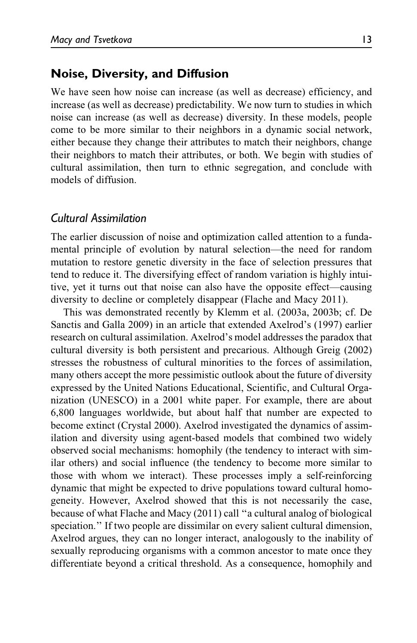#### Noise, Diversity, and Diffusion

We have seen how noise can increase (as well as decrease) efficiency, and increase (as well as decrease) predictability. We now turn to studies in which noise can increase (as well as decrease) diversity. In these models, people come to be more similar to their neighbors in a dynamic social network, either because they change their attributes to match their neighbors, change their neighbors to match their attributes, or both. We begin with studies of cultural assimilation, then turn to ethnic segregation, and conclude with models of diffusion.

#### Cultural Assimilation

The earlier discussion of noise and optimization called attention to a fundamental principle of evolution by natural selection—the need for random mutation to restore genetic diversity in the face of selection pressures that tend to reduce it. The diversifying effect of random variation is highly intuitive, yet it turns out that noise can also have the opposite effect—causing diversity to decline or completely disappear (Flache and Macy 2011).

This was demonstrated recently by Klemm et al. (2003a, 2003b; cf. De Sanctis and Galla 2009) in an article that extended Axelrod's (1997) earlier research on cultural assimilation. Axelrod's model addresses the paradox that cultural diversity is both persistent and precarious. Although Greig (2002) stresses the robustness of cultural minorities to the forces of assimilation, many others accept the more pessimistic outlook about the future of diversity expressed by the United Nations Educational, Scientific, and Cultural Organization (UNESCO) in a 2001 white paper. For example, there are about 6,800 languages worldwide, but about half that number are expected to become extinct (Crystal 2000). Axelrod investigated the dynamics of assimilation and diversity using agent-based models that combined two widely observed social mechanisms: homophily (the tendency to interact with similar others) and social influence (the tendency to become more similar to those with whom we interact). These processes imply a self-reinforcing dynamic that might be expected to drive populations toward cultural homogeneity. However, Axelrod showed that this is not necessarily the case, because of what Flache and Macy (2011) call ''a cultural analog of biological speciation.'' If two people are dissimilar on every salient cultural dimension, Axelrod argues, they can no longer interact, analogously to the inability of sexually reproducing organisms with a common ancestor to mate once they differentiate beyond a critical threshold. As a consequence, homophily and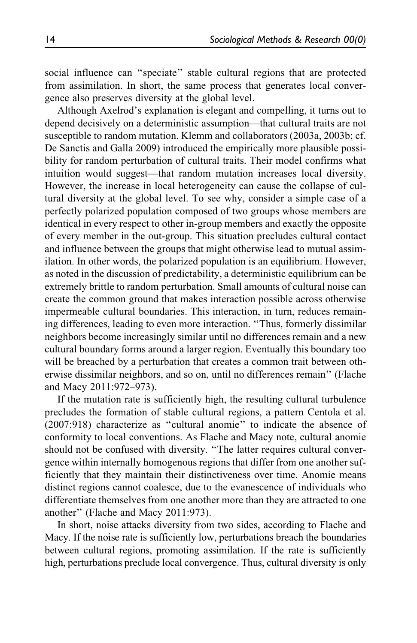social influence can ''speciate'' stable cultural regions that are protected from assimilation. In short, the same process that generates local convergence also preserves diversity at the global level.

Although Axelrod's explanation is elegant and compelling, it turns out to depend decisively on a deterministic assumption—that cultural traits are not susceptible to random mutation. Klemm and collaborators (2003a, 2003b; cf. De Sanctis and Galla 2009) introduced the empirically more plausible possibility for random perturbation of cultural traits. Their model confirms what intuition would suggest—that random mutation increases local diversity. However, the increase in local heterogeneity can cause the collapse of cultural diversity at the global level. To see why, consider a simple case of a perfectly polarized population composed of two groups whose members are identical in every respect to other in-group members and exactly the opposite of every member in the out-group. This situation precludes cultural contact and influence between the groups that might otherwise lead to mutual assimilation. In other words, the polarized population is an equilibrium. However, as noted in the discussion of predictability, a deterministic equilibrium can be extremely brittle to random perturbation. Small amounts of cultural noise can create the common ground that makes interaction possible across otherwise impermeable cultural boundaries. This interaction, in turn, reduces remaining differences, leading to even more interaction. ''Thus, formerly dissimilar neighbors become increasingly similar until no differences remain and a new cultural boundary forms around a larger region. Eventually this boundary too will be breached by a perturbation that creates a common trait between otherwise dissimilar neighbors, and so on, until no differences remain'' (Flache and Macy 2011:972–973).

If the mutation rate is sufficiently high, the resulting cultural turbulence precludes the formation of stable cultural regions, a pattern Centola et al. (2007:918) characterize as ''cultural anomie'' to indicate the absence of conformity to local conventions. As Flache and Macy note, cultural anomie should not be confused with diversity. ''The latter requires cultural convergence within internally homogenous regions that differ from one another sufficiently that they maintain their distinctiveness over time. Anomie means distinct regions cannot coalesce, due to the evanescence of individuals who differentiate themselves from one another more than they are attracted to one another'' (Flache and Macy 2011:973).

In short, noise attacks diversity from two sides, according to Flache and Macy. If the noise rate is sufficiently low, perturbations breach the boundaries between cultural regions, promoting assimilation. If the rate is sufficiently high, perturbations preclude local convergence. Thus, cultural diversity is only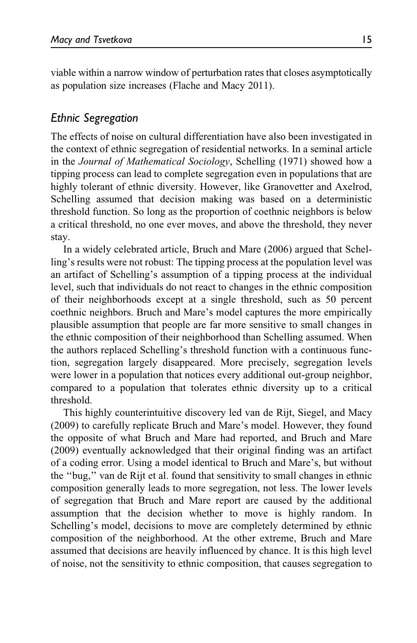viable within a narrow window of perturbation rates that closes asymptotically as population size increases (Flache and Macy 2011).

#### Ethnic Segregation

The effects of noise on cultural differentiation have also been investigated in the context of ethnic segregation of residential networks. In a seminal article in the Journal of Mathematical Sociology, Schelling (1971) showed how a tipping process can lead to complete segregation even in populations that are highly tolerant of ethnic diversity. However, like Granovetter and Axelrod, Schelling assumed that decision making was based on a deterministic threshold function. So long as the proportion of coethnic neighbors is below a critical threshold, no one ever moves, and above the threshold, they never stay.

In a widely celebrated article, Bruch and Mare (2006) argued that Schelling's results were not robust: The tipping process at the population level was an artifact of Schelling's assumption of a tipping process at the individual level, such that individuals do not react to changes in the ethnic composition of their neighborhoods except at a single threshold, such as 50 percent coethnic neighbors. Bruch and Mare's model captures the more empirically plausible assumption that people are far more sensitive to small changes in the ethnic composition of their neighborhood than Schelling assumed. When the authors replaced Schelling's threshold function with a continuous function, segregation largely disappeared. More precisely, segregation levels were lower in a population that notices every additional out-group neighbor, compared to a population that tolerates ethnic diversity up to a critical threshold.

This highly counterintuitive discovery led van de Rijt, Siegel, and Macy (2009) to carefully replicate Bruch and Mare's model. However, they found the opposite of what Bruch and Mare had reported, and Bruch and Mare (2009) eventually acknowledged that their original finding was an artifact of a coding error. Using a model identical to Bruch and Mare's, but without the ''bug,'' van de Rijt et al. found that sensitivity to small changes in ethnic composition generally leads to more segregation, not less. The lower levels of segregation that Bruch and Mare report are caused by the additional assumption that the decision whether to move is highly random. In Schelling's model, decisions to move are completely determined by ethnic composition of the neighborhood. At the other extreme, Bruch and Mare assumed that decisions are heavily influenced by chance. It is this high level of noise, not the sensitivity to ethnic composition, that causes segregation to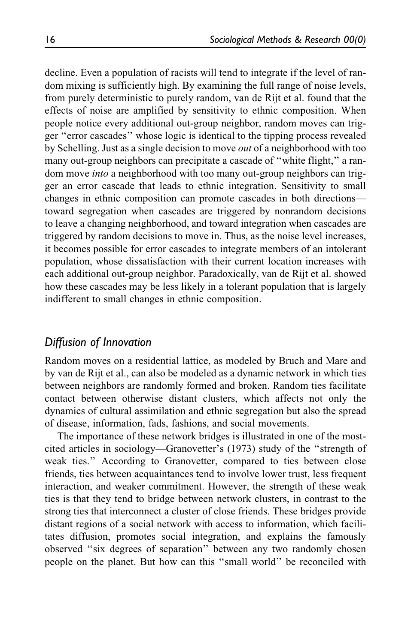decline. Even a population of racists will tend to integrate if the level of random mixing is sufficiently high. By examining the full range of noise levels, from purely deterministic to purely random, van de Rijt et al. found that the effects of noise are amplified by sensitivity to ethnic composition. When people notice every additional out-group neighbor, random moves can trigger ''error cascades'' whose logic is identical to the tipping process revealed by Schelling. Just as a single decision to move out of a neighborhood with too many out-group neighbors can precipitate a cascade of ''white flight,'' a random move into a neighborhood with too many out-group neighbors can trigger an error cascade that leads to ethnic integration. Sensitivity to small changes in ethnic composition can promote cascades in both directions toward segregation when cascades are triggered by nonrandom decisions to leave a changing neighborhood, and toward integration when cascades are triggered by random decisions to move in. Thus, as the noise level increases, it becomes possible for error cascades to integrate members of an intolerant population, whose dissatisfaction with their current location increases with each additional out-group neighbor. Paradoxically, van de Rijt et al. showed how these cascades may be less likely in a tolerant population that is largely indifferent to small changes in ethnic composition.

#### Diffusion of Innovation

Random moves on a residential lattice, as modeled by Bruch and Mare and by van de Rijt et al., can also be modeled as a dynamic network in which ties between neighbors are randomly formed and broken. Random ties facilitate contact between otherwise distant clusters, which affects not only the dynamics of cultural assimilation and ethnic segregation but also the spread of disease, information, fads, fashions, and social movements.

The importance of these network bridges is illustrated in one of the mostcited articles in sociology—Granovetter's (1973) study of the ''strength of weak ties.'' According to Granovetter, compared to ties between close friends, ties between acquaintances tend to involve lower trust, less frequent interaction, and weaker commitment. However, the strength of these weak ties is that they tend to bridge between network clusters, in contrast to the strong ties that interconnect a cluster of close friends. These bridges provide distant regions of a social network with access to information, which facilitates diffusion, promotes social integration, and explains the famously observed ''six degrees of separation'' between any two randomly chosen people on the planet. But how can this ''small world'' be reconciled with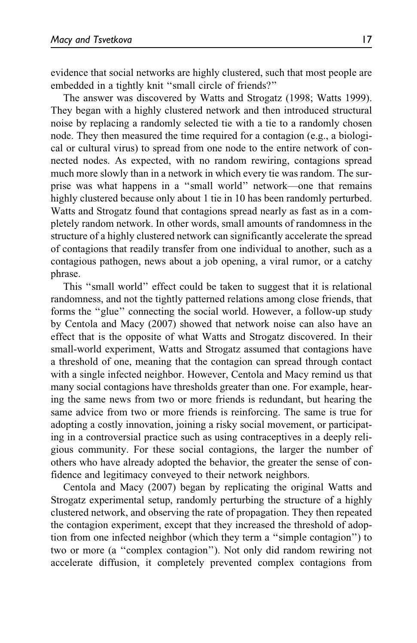evidence that social networks are highly clustered, such that most people are embedded in a tightly knit ''small circle of friends?''

The answer was discovered by Watts and Strogatz (1998; Watts 1999). They began with a highly clustered network and then introduced structural noise by replacing a randomly selected tie with a tie to a randomly chosen node. They then measured the time required for a contagion (e.g., a biological or cultural virus) to spread from one node to the entire network of connected nodes. As expected, with no random rewiring, contagions spread much more slowly than in a network in which every tie was random. The surprise was what happens in a ''small world'' network—one that remains highly clustered because only about 1 tie in 10 has been randomly perturbed. Watts and Strogatz found that contagions spread nearly as fast as in a completely random network. In other words, small amounts of randomness in the structure of a highly clustered network can significantly accelerate the spread of contagions that readily transfer from one individual to another, such as a contagious pathogen, news about a job opening, a viral rumor, or a catchy phrase.

This ''small world'' effect could be taken to suggest that it is relational randomness, and not the tightly patterned relations among close friends, that forms the ''glue'' connecting the social world. However, a follow-up study by Centola and Macy (2007) showed that network noise can also have an effect that is the opposite of what Watts and Strogatz discovered. In their small-world experiment, Watts and Strogatz assumed that contagions have a threshold of one, meaning that the contagion can spread through contact with a single infected neighbor. However, Centola and Macy remind us that many social contagions have thresholds greater than one. For example, hearing the same news from two or more friends is redundant, but hearing the same advice from two or more friends is reinforcing. The same is true for adopting a costly innovation, joining a risky social movement, or participating in a controversial practice such as using contraceptives in a deeply religious community. For these social contagions, the larger the number of others who have already adopted the behavior, the greater the sense of confidence and legitimacy conveyed to their network neighbors.

Centola and Macy (2007) began by replicating the original Watts and Strogatz experimental setup, randomly perturbing the structure of a highly clustered network, and observing the rate of propagation. They then repeated the contagion experiment, except that they increased the threshold of adoption from one infected neighbor (which they term a ''simple contagion'') to two or more (a ''complex contagion''). Not only did random rewiring not accelerate diffusion, it completely prevented complex contagions from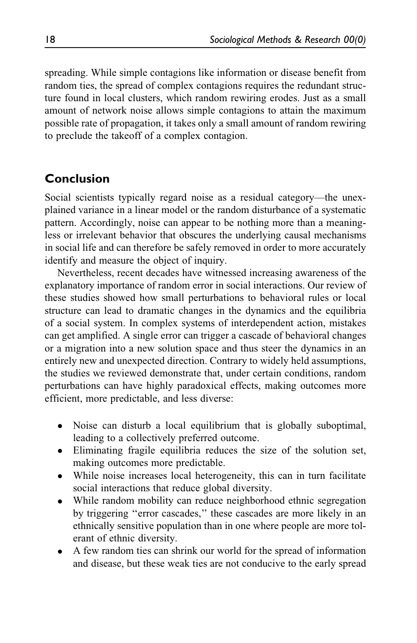spreading. While simple contagions like information or disease benefit from random ties, the spread of complex contagions requires the redundant structure found in local clusters, which random rewiring erodes. Just as a small amount of network noise allows simple contagions to attain the maximum possible rate of propagation, it takes only a small amount of random rewiring to preclude the takeoff of a complex contagion.

## Conclusion

Social scientists typically regard noise as a residual category—the unexplained variance in a linear model or the random disturbance of a systematic pattern. Accordingly, noise can appear to be nothing more than a meaningless or irrelevant behavior that obscures the underlying causal mechanisms in social life and can therefore be safely removed in order to more accurately identify and measure the object of inquiry.

Nevertheless, recent decades have witnessed increasing awareness of the explanatory importance of random error in social interactions. Our review of these studies showed how small perturbations to behavioral rules or local structure can lead to dramatic changes in the dynamics and the equilibria of a social system. In complex systems of interdependent action, mistakes can get amplified. A single error can trigger a cascade of behavioral changes or a migration into a new solution space and thus steer the dynamics in an entirely new and unexpected direction. Contrary to widely held assumptions, the studies we reviewed demonstrate that, under certain conditions, random perturbations can have highly paradoxical effects, making outcomes more efficient, more predictable, and less diverse:

- Noise can disturb a local equilibrium that is globally suboptimal, leading to a collectively preferred outcome.
- Eliminating fragile equilibria reduces the size of the solution set, making outcomes more predictable.
- While noise increases local heterogeneity, this can in turn facilitate social interactions that reduce global diversity.
- While random mobility can reduce neighborhood ethnic segregation by triggering ''error cascades,'' these cascades are more likely in an ethnically sensitive population than in one where people are more tolerant of ethnic diversity.
- $\bullet$  A few random ties can shrink our world for the spread of information and disease, but these weak ties are not conducive to the early spread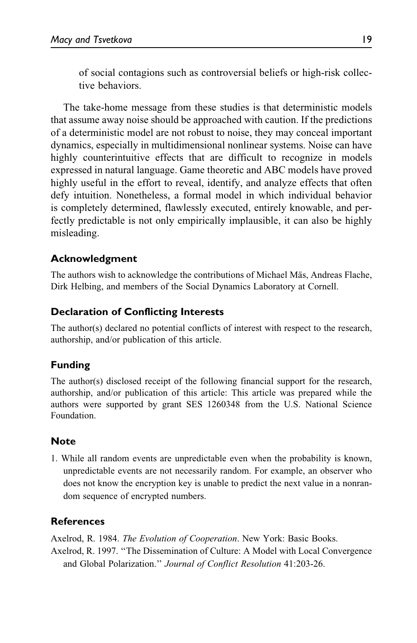of social contagions such as controversial beliefs or high-risk collective behaviors.

The take-home message from these studies is that deterministic models that assume away noise should be approached with caution. If the predictions of a deterministic model are not robust to noise, they may conceal important dynamics, especially in multidimensional nonlinear systems. Noise can have highly counterintuitive effects that are difficult to recognize in models expressed in natural language. Game theoretic and ABC models have proved highly useful in the effort to reveal, identify, and analyze effects that often defy intuition. Nonetheless, a formal model in which individual behavior is completely determined, flawlessly executed, entirely knowable, and perfectly predictable is not only empirically implausible, it can also be highly misleading.

#### Acknowledgment

The authors wish to acknowledge the contributions of Michael Mäs, Andreas Flache, Dirk Helbing, and members of the Social Dynamics Laboratory at Cornell.

#### Declaration of Conflicting Interests

The author(s) declared no potential conflicts of interest with respect to the research, authorship, and/or publication of this article.

#### Funding

The author(s) disclosed receipt of the following financial support for the research, authorship, and/or publication of this article: This article was prepared while the authors were supported by grant SES 1260348 from the U.S. National Science Foundation.

#### **Note**

1. While all random events are unpredictable even when the probability is known, unpredictable events are not necessarily random. For example, an observer who does not know the encryption key is unable to predict the next value in a nonrandom sequence of encrypted numbers.

#### References

Axelrod, R. 1984. The Evolution of Cooperation. New York: Basic Books.

Axelrod, R. 1997. ''The Dissemination of Culture: A Model with Local Convergence and Global Polarization.'' Journal of Conflict Resolution 41:203-26.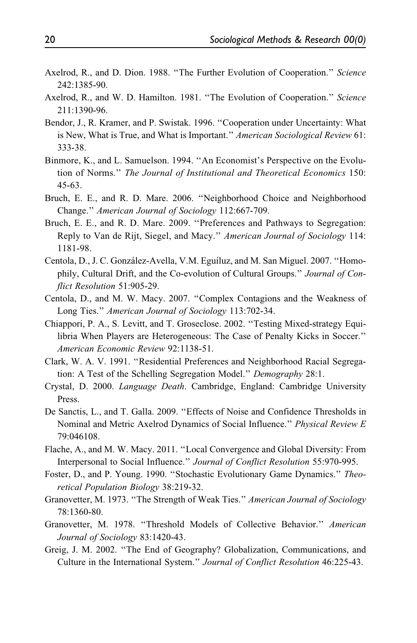- Axelrod, R., and D. Dion. 1988. "The Further Evolution of Cooperation." Science 242:1385-90.
- Axelrod, R., and W. D. Hamilton. 1981. "The Evolution of Cooperation." Science 211:1390-96.
- Bendor, J., R. Kramer, and P. Swistak. 1996. ''Cooperation under Uncertainty: What is New, What is True, and What is Important." American Sociological Review 61: 333-38.
- Binmore, K., and L. Samuelson. 1994. ''An Economist's Perspective on the Evolution of Norms.'' The Journal of Institutional and Theoretical Economics 150: 45-63.
- Bruch, E. E., and R. D. Mare. 2006. ''Neighborhood Choice and Neighborhood Change.'' American Journal of Sociology 112:667-709.
- Bruch, E. E., and R. D. Mare. 2009. ''Preferences and Pathways to Segregation: Reply to Van de Rijt, Siegel, and Macy.'' American Journal of Sociology 114: 1181-98.
- Centola, D., J. C. González-Avella, V.M. Eguíluz, and M. San Miguel. 2007. "Homophily, Cultural Drift, and the Co-evolution of Cultural Groups.'' Journal of Conflict Resolution 51:905-29.
- Centola, D., and M. W. Macy. 2007. ''Complex Contagions and the Weakness of Long Ties.'' American Journal of Sociology 113:702-34.
- Chiappori, P. A., S. Levitt, and T. Groseclose. 2002. ''Testing Mixed-strategy Equilibria When Players are Heterogeneous: The Case of Penalty Kicks in Soccer.'' American Economic Review 92:1138-51.
- Clark, W. A. V. 1991. ''Residential Preferences and Neighborhood Racial Segregation: A Test of the Schelling Segregation Model.'' Demography 28:1.
- Crystal, D. 2000. Language Death. Cambridge, England: Cambridge University Press.
- De Sanctis, L., and T. Galla. 2009. ''Effects of Noise and Confidence Thresholds in Nominal and Metric Axelrod Dynamics of Social Influence.'' Physical Review E 79:046108.
- Flache, A., and M. W. Macy. 2011. ''Local Convergence and Global Diversity: From Interpersonal to Social Influence.'' Journal of Conflict Resolution 55:970-995.
- Foster, D., and P. Young. 1990. ''Stochastic Evolutionary Game Dynamics.'' Theoretical Population Biology 38:219-32.
- Granovetter, M. 1973. ''The Strength of Weak Ties.'' American Journal of Sociology 78:1360-80.
- Granovetter, M. 1978. ''Threshold Models of Collective Behavior.'' American Journal of Sociology 83:1420-43.
- Greig, J. M. 2002. ''The End of Geography? Globalization, Communications, and Culture in the International System.'' Journal of Conflict Resolution 46:225-43.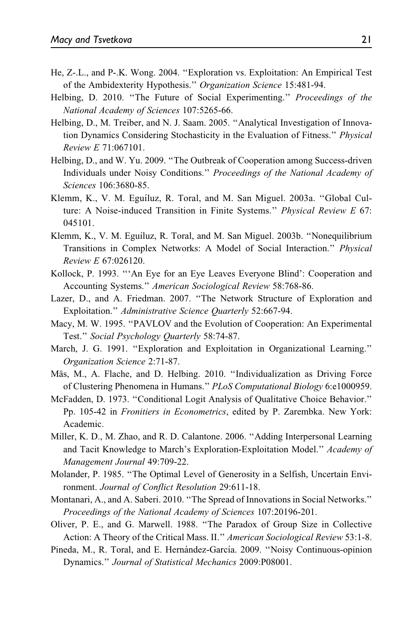- He, Z-.L., and P-.K. Wong. 2004. ''Exploration vs. Exploitation: An Empirical Test of the Ambidexterity Hypothesis.'' Organization Science 15:481-94.
- Helbing, D. 2010. "The Future of Social Experimenting." Proceedings of the National Academy of Sciences 107:5265-66.
- Helbing, D., M. Treiber, and N. J. Saam. 2005. ''Analytical Investigation of Innovation Dynamics Considering Stochasticity in the Evaluation of Fitness.'' Physical Review E 71:067101.
- Helbing, D., and W. Yu. 2009. ''The Outbreak of Cooperation among Success-driven Individuals under Noisy Conditions.'' Proceedings of the National Academy of Sciences 106:3680-85.
- Klemm, K., V. M. Eguíluz, R. Toral, and M. San Miguel. 2003a. "Global Culture: A Noise-induced Transition in Finite Systems." Physical Review E 67: 045101.
- Klemm, K., V. M. Eguíluz, R. Toral, and M. San Miguel. 2003b. "Nonequilibrium Transitions in Complex Networks: A Model of Social Interaction.'' Physical Review E 67:026120.
- Kollock, P. 1993. '''An Eye for an Eye Leaves Everyone Blind': Cooperation and Accounting Systems.'' American Sociological Review 58:768-86.
- Lazer, D., and A. Friedman. 2007. ''The Network Structure of Exploration and Exploitation.'' Administrative Science Quarterly 52:667-94.
- Macy, M. W. 1995. ''PAVLOV and the Evolution of Cooperation: An Experimental Test.'' Social Psychology Quarterly 58:74-87.
- March, J. G. 1991. ''Exploration and Exploitation in Organizational Learning.'' Organization Science 2:71-87.
- Mäs, M., A. Flache, and D. Helbing. 2010. "Individualization as Driving Force of Clustering Phenomena in Humans.'' PLoS Computational Biology 6:e1000959.
- McFadden, D. 1973. ''Conditional Logit Analysis of Qualitative Choice Behavior.'' Pp. 105-42 in Fronitiers in Econometrics, edited by P. Zarembka. New York: Academic.
- Miller, K. D., M. Zhao, and R. D. Calantone. 2006. ''Adding Interpersonal Learning and Tacit Knowledge to March's Exploration-Exploitation Model.'' Academy of Management Journal 49:709-22.
- Molander, P. 1985. ''The Optimal Level of Generosity in a Selfish, Uncertain Environment. Journal of Conflict Resolution 29:611-18.
- Montanari, A., and A. Saberi. 2010. ''The Spread of Innovations in Social Networks.'' Proceedings of the National Academy of Sciences 107:20196-201.
- Oliver, P. E., and G. Marwell. 1988. ''The Paradox of Group Size in Collective Action: A Theory of the Critical Mass. II.'' American Sociological Review 53:1-8.
- Pineda, M., R. Toral, and E. Hernández-García. 2009. "Noisy Continuous-opinion Dynamics.'' Journal of Statistical Mechanics 2009:P08001.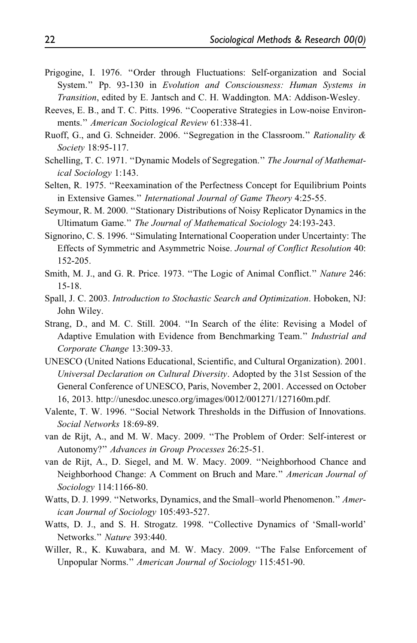- Prigogine, I. 1976. ''Order through Fluctuations: Self-organization and Social System.'' Pp. 93-130 in Evolution and Consciousness: Human Systems in Transition, edited by E. Jantsch and C. H. Waddington. MA: Addison-Wesley.
- Reeves, E. B., and T. C. Pitts. 1996. ''Cooperative Strategies in Low-noise Environments.'' American Sociological Review 61:338-41.
- Ruoff, G., and G. Schneider. 2006. ''Segregation in the Classroom.'' Rationality & Society 18:95-117.
- Schelling, T. C. 1971. ''Dynamic Models of Segregation.'' The Journal of Mathematical Sociology 1:143.
- Selten, R. 1975. ''Reexamination of the Perfectness Concept for Equilibrium Points in Extensive Games.'' International Journal of Game Theory 4:25-55.
- Seymour, R. M. 2000. ''Stationary Distributions of Noisy Replicator Dynamics in the Ultimatum Game.'' The Journal of Mathematical Sociology 24:193-243.
- Signorino, C. S. 1996. ''Simulating International Cooperation under Uncertainty: The Effects of Symmetric and Asymmetric Noise. Journal of Conflict Resolution 40: 152-205.
- Smith, M. J., and G. R. Price. 1973. "The Logic of Animal Conflict." Nature 246: 15-18.
- Spall, J. C. 2003. Introduction to Stochastic Search and Optimization. Hoboken, NJ: John Wiley.
- Strang, D., and M. C. Still. 2004. "In Search of the élite: Revising a Model of Adaptive Emulation with Evidence from Benchmarking Team.'' Industrial and Corporate Change 13:309-33.
- UNESCO (United Nations Educational, Scientific, and Cultural Organization). 2001. Universal Declaration on Cultural Diversity. Adopted by the 31st Session of the General Conference of UNESCO, Paris, November 2, 2001. Accessed on October 16, 2013. [http://unesdoc.unesco.org/images/0012/001271/127160m.pdf.](http://unesdoc.unesco.org/images/0012/001271/127160m.pdf)
- Valente, T. W. 1996. ''Social Network Thresholds in the Diffusion of Innovations. Social Networks 18:69-89.
- van de Rijt, A., and M. W. Macy. 2009. ''The Problem of Order: Self-interest or Autonomy?'' Advances in Group Processes 26:25-51.
- van de Rijt, A., D. Siegel, and M. W. Macy. 2009. ''Neighborhood Chance and Neighborhood Change: A Comment on Bruch and Mare.'' American Journal of Sociology 114:1166-80.
- Watts, D. J. 1999. "Networks, Dynamics, and the Small–world Phenomenon." American Journal of Sociology 105:493-527.
- Watts, D. J., and S. H. Strogatz. 1998. ''Collective Dynamics of 'Small-world' Networks.'' Nature 393:440.
- Willer, R., K. Kuwabara, and M. W. Macy. 2009. ''The False Enforcement of Unpopular Norms.'' American Journal of Sociology 115:451-90.